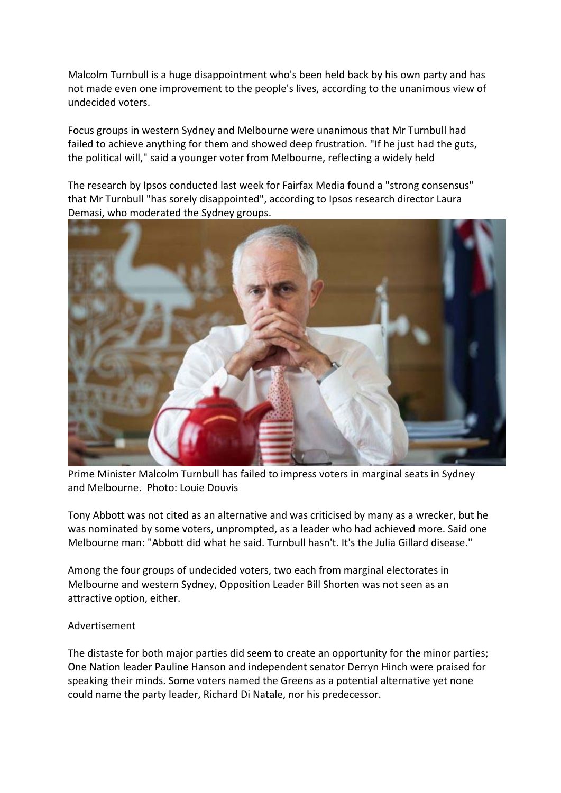Malcolm Turnbull is a huge disappointment who's been held back by his own party and has not made even one improvement to the people's lives, according to the unanimous view of undecided voters.

Focus groups in western Sydney and Melbourne were unanimous that Mr Turnbull had failed to achieve anything for them and showed deep frustration. "If he just had the guts, the political will," said a younger voter from Melbourne, reflecting a widely held

The research by Ipsos conducted last week for Fairfax Media found a "strong consensus" that Mr Turnbull "has sorely disappointed", according to Ipsos research director Laura Demasi, who moderated the Sydney groups.



Prime Minister Malcolm Turnbull has failed to impress voters in marginal seats in Sydney and Melbourne. Photo: Louie Douvis

Tony Abbott was not cited as an alternative and was criticised by many as a wrecker, but he was nominated by some voters, unprompted, as a leader who had achieved more. Said one Melbourne man: "Abbott did what he said. Turnbull hasn't. It's the Julia Gillard disease."

Among the four groups of undecided voters, two each from marginal electorates in Melbourne and western Sydney, Opposition Leader Bill Shorten was not seen as an attractive option, either.

## Advertisement

The distaste for both major parties did seem to create an opportunity for the minor parties; One Nation leader Pauline Hanson and independent senator Derryn Hinch were praised for speaking their minds. Some voters named the Greens as a potential alternative yet none could name the party leader, Richard Di Natale, nor his predecessor.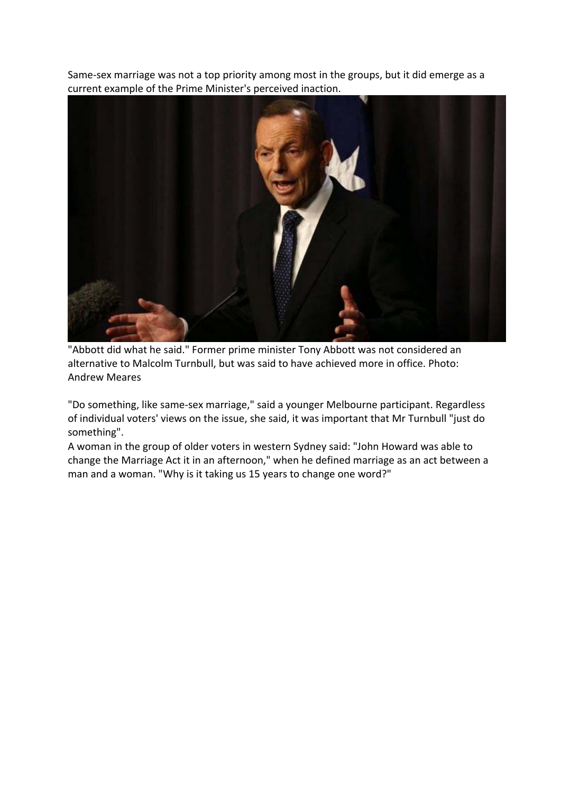Same-sex marriage was not a top priority among most in the groups, but it did emerge as a current example of the Prime Minister's perceived inaction.



"Abbott did what he said." Former prime minister Tony Abbott was not considered an alternative to Malcolm Turnbull, but was said to have achieved more in office. Photo: Andrew Meares

"Do something, like same-sex marriage," said a younger Melbourne participant. Regardless of individual voters' views on the issue, she said, it was important that Mr Turnbull "just do something".

A woman in the group of older voters in western Sydney said: "John Howard was able to change the Marriage Act it in an afternoon," when he defined marriage as an act between a man and a woman. "Why is it taking us 15 years to change one word?"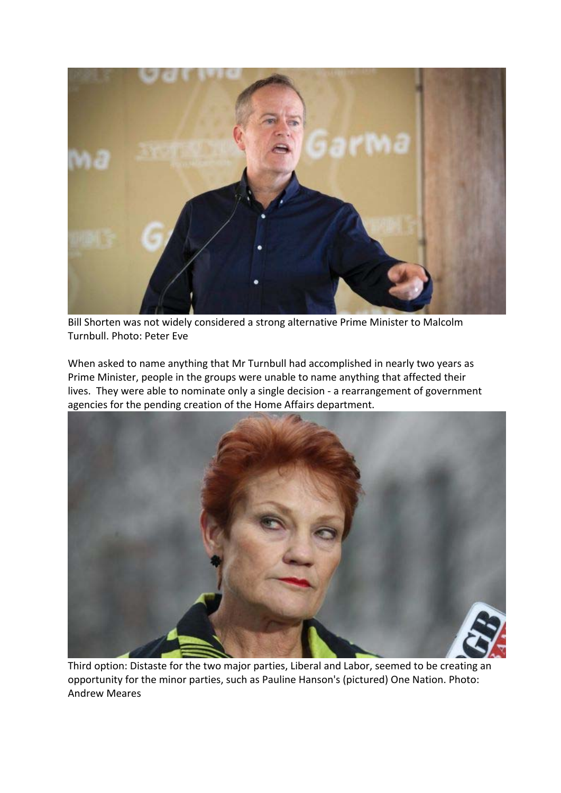

Bill Shorten was not widely considered a strong alternative Prime Minister to Malcolm Turnbull. Photo: Peter Eve

When asked to name anything that Mr Turnbull had accomplished in nearly two years as Prime Minister, people in the groups were unable to name anything that affected their lives. They were able to nominate only a single decision - a rearrangement of government agencies for the pending creation of the Home Affairs department.



Third option: Distaste for the two major parties, Liberal and Labor, seemed to be creating an opportunity for the minor parties, such as Pauline Hanson's (pictured) One Nation. Photo: Andrew Meares